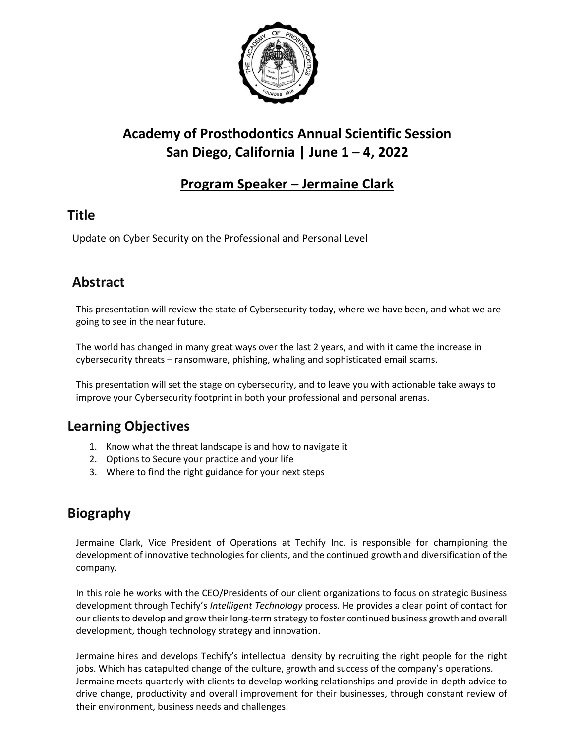

# **Academy of Prosthodontics Annual Scientific Session San Diego, California | June 1 – 4, 2022**

#### **Program Speaker – Jermaine Clark**

#### **Title**

Update on Cyber Security on the Professional and Personal Level

## **Abstract**

This presentation will review the state of Cybersecurity today, where we have been, and what we are going to see in the near future.

The world has changed in many great ways over the last 2 years, and with it came the increase in cybersecurity threats – ransomware, phishing, whaling and sophisticated email scams.

This presentation will set the stage on cybersecurity, and to leave you with actionable take aways to improve your Cybersecurity footprint in both your professional and personal arenas.

## **Learning Objectives**

- 1. Know what the threat landscape is and how to navigate it
- 2. Options to Secure your practice and your life
- 3. Where to find the right guidance for your next steps

## **Biography**

Jermaine Clark, Vice President of Operations at Techify Inc. is responsible for championing the development of innovative technologies for clients, and the continued growth and diversification of the company.

In this role he works with the CEO/Presidents of our client organizations to focus on strategic Business development through Techify's *Intelligent Technology* process. He provides a clear point of contact for our clients to develop and grow their long-term strategy to foster continued business growth and overall development, though technology strategy and innovation.

Jermaine hires and develops Techify's intellectual density by recruiting the right people for the right jobs. Which has catapulted change of the culture, growth and success of the company's operations. Jermaine meets quarterly with clients to develop working relationships and provide in-depth advice to drive change, productivity and overall improvement for their businesses, through constant review of their environment, business needs and challenges.